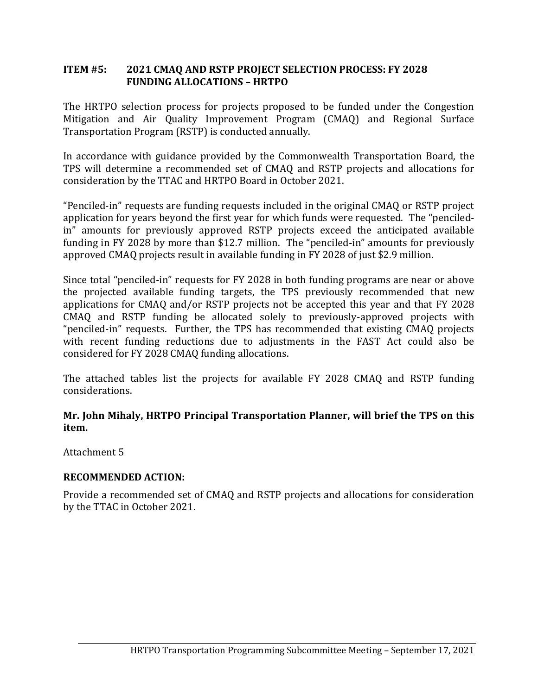## **ITEM #5: 2021 CMAQ AND RSTP PROJECT SELECTION PROCESS: FY 2028 FUNDING ALLOCATIONS – HRTPO**

The HRTPO selection process for projects proposed to be funded under the Congestion Mitigation and Air Quality Improvement Program (CMAQ) and Regional Surface Transportation Program (RSTP) is conducted annually.

In accordance with guidance provided by the Commonwealth Transportation Board, the TPS will determine a recommended set of CMAQ and RSTP projects and allocations for consideration by the TTAC and HRTPO Board in October 2021.

"Penciled-in" requests are funding requests included in the original CMAQ or RSTP project application for years beyond the first year for which funds were requested. The "penciledin" amounts for previously approved RSTP projects exceed the anticipated available funding in FY 2028 by more than \$12.7 million. The "penciled-in" amounts for previously approved CMAQ projects result in available funding in FY 2028 of just \$2.9 million.

Since total "penciled-in" requests for FY 2028 in both funding programs are near or above the projected available funding targets, the TPS previously recommended that new applications for CMAQ and/or RSTP projects not be accepted this year and that FY 2028 CMAQ and RSTP funding be allocated solely to previously-approved projects with "penciled-in" requests. Further, the TPS has recommended that existing CMAQ projects with recent funding reductions due to adjustments in the FAST Act could also be considered for FY 2028 CMAQ funding allocations.

The attached tables list the projects for available FY 2028 CMAQ and RSTP funding considerations.

## **Mr. John Mihaly, HRTPO Principal Transportation Planner, will brief the TPS on this item.**

Attachment 5

# **RECOMMENDED ACTION:**

Provide a recommended set of CMAQ and RSTP projects and allocations for consideration by the TTAC in October 2021.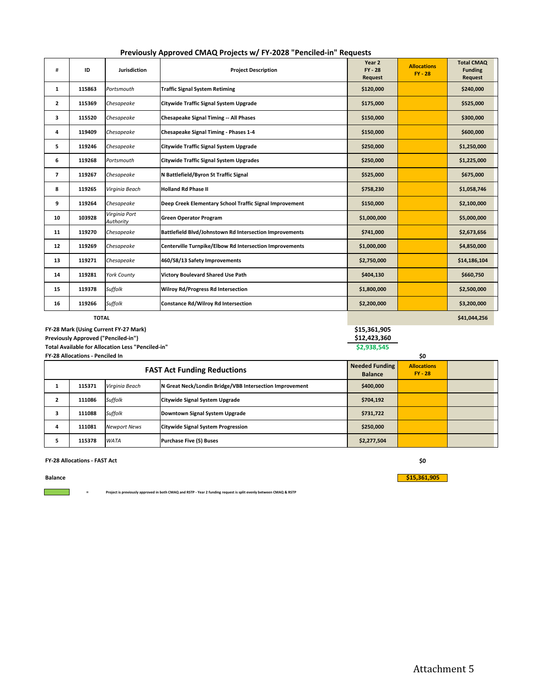| Previously Approved CMAQ Projects w/ FY-2028 "Penciled-in" Requests |  |  |
|---------------------------------------------------------------------|--|--|
|---------------------------------------------------------------------|--|--|

| #              | ID     | <b>Jurisdiction</b>        | <b>Project Description</b>                              | Year 2<br>$FY - 28$<br>Request | <b>Allocations</b><br>$FY - 28$ | <b>Total CMAQ</b><br><b>Funding</b><br>Request |
|----------------|--------|----------------------------|---------------------------------------------------------|--------------------------------|---------------------------------|------------------------------------------------|
| 1              | 115863 | Portsmouth                 | <b>Traffic Signal System Retiming</b>                   | \$120,000                      |                                 | \$240,000                                      |
| $\overline{2}$ | 115369 | Chesapeake                 | <b>Citywide Traffic Signal System Upgrade</b>           | \$175,000                      |                                 | \$525,000                                      |
| 3              | 115520 | Chesapeake                 | <b>Chesapeake Signal Timing -- All Phases</b>           | \$150,000                      |                                 | \$300,000                                      |
| 4              | 119409 | Chesapeake                 | Chesapeake Signal Timing - Phases 1-4                   | \$150,000                      |                                 | \$600,000                                      |
| 5              | 119246 | Chesapeake                 | <b>Citywide Traffic Signal System Upgrade</b>           | \$250,000                      |                                 | \$1,250,000                                    |
| 6              | 119268 | Portsmouth                 | <b>Citywide Traffic Signal System Upgrades</b>          | \$250,000                      |                                 | \$1,225,000                                    |
| $\overline{7}$ | 119267 | Chesapeake                 | N Battlefield/Byron St Traffic Signal                   | \$525,000                      |                                 | \$675,000                                      |
| 8              | 119265 | Virginia Beach             | <b>Holland Rd Phase II</b>                              | \$758,230                      |                                 | \$1,058,746                                    |
| 9              | 119264 | Chesapeake                 | Deep Creek Elementary School Traffic Signal Improvement | \$150,000                      |                                 | \$2,100,000                                    |
| 10             | 103928 | Virginia Port<br>Authority | <b>Green Operator Program</b>                           | \$1,000,000                    |                                 | \$5,000,000                                    |
| 11             | 119270 | Chesapeake                 | Battlefield Blvd/Johnstown Rd Intersection Improvements | \$741,000                      |                                 | \$2,673,656                                    |
| 12             | 119269 | Chesapeake                 | Centerville Turnpike/Elbow Rd Intersection Improvements | \$1,000,000                    |                                 | \$4,850,000                                    |
| 13             | 119271 | Chesapeake                 | 460/58/13 Safety Improvements                           | \$2,750,000                    |                                 | \$14,186,104                                   |
| 14             | 119281 | <b>York County</b>         | <b>Victory Boulevard Shared Use Path</b>                | \$404,130                      |                                 | \$660,750                                      |
| 15             | 119378 | Suffolk                    | <b>Wilroy Rd/Progress Rd Intersection</b>               | \$1,800,000                    |                                 | \$2,500,000                                    |
| 16             | 119266 | Suffolk                    | Constance Rd/Wilroy Rd Intersection                     | \$2,200,000                    |                                 | \$3,200,000                                    |

**TOTAL**

| FY-28 Mark (Using Current FY-27 Mark)             | \$15,361,905 |
|---------------------------------------------------|--------------|
| Previously Approved ("Penciled-in")               | \$12,423,360 |
| Total Available for Allocation Less "Penciled-in" | \$2,938,545  |

**Total Available for Allocation Less "Penciled‐in" FY‐28 Allocations ‐ Penciled In**

| <b>FY-28 Allocations - Penciled In</b> |        |                     | \$0                                                     |                                 |  |  |
|----------------------------------------|--------|---------------------|---------------------------------------------------------|---------------------------------|--|--|
| <b>FAST Act Funding Reductions</b>     |        |                     | <b>Needed Funding</b><br><b>Balance</b>                 | <b>Allocations</b><br>$FY - 28$ |  |  |
|                                        | 115371 | Virginia Beach      | N Great Neck/Londin Bridge/VBB Intersection Improvement | \$400,000                       |  |  |
|                                        | 111086 | Suffolk             | Citywide Signal System Upgrade                          | \$704,192                       |  |  |
| 3                                      | 111088 | Suffolk             | Downtown Signal System Upgrade                          | \$731,722                       |  |  |
| 4                                      | 111081 | <b>Newport News</b> | <b>Citywide Signal System Progression</b>               | \$250,000                       |  |  |
|                                        | 115378 | <b>WATA</b>         | <b>Purchase Five (5) Buses</b>                          | \$2,277,504                     |  |  |

#### **FY‐28 Allocations ‐ FAST Act**

**=**

**Balance**

 $\mathcal{L}^{\text{max}}_{\text{max}}$ 

Project is previously approved in both CMAQ and RSTP - Year 2 funding request is split evenly between CMAQ & RSTP

**\$0 \$15,361,905** **\$41,044,256**